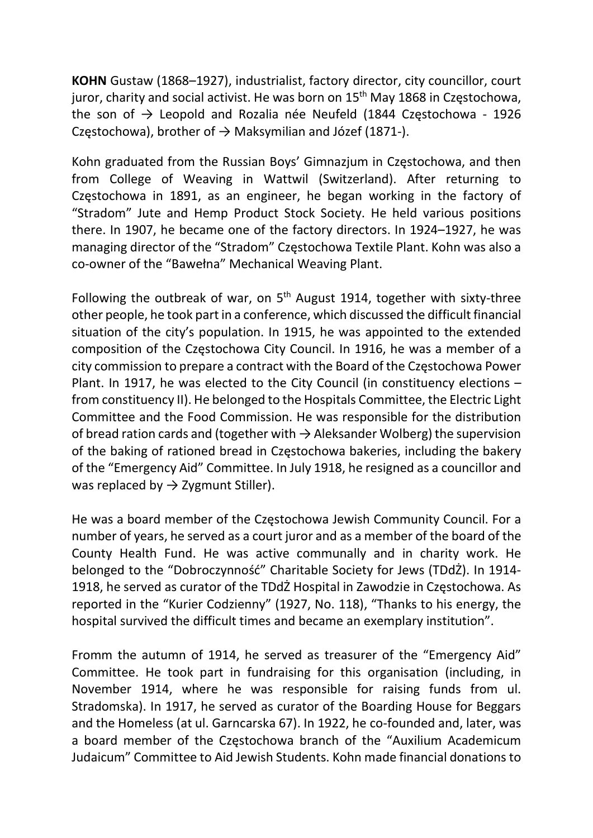KOHN Gustaw (1868–1927), industrialist, factory director, city councillor, court juror, charity and social activist. He was born on 15<sup>th</sup> May 1868 in Częstochowa, the son of  $\rightarrow$  Leopold and Rozalia née Neufeld (1844 Czestochowa - 1926 Częstochowa), brother of  $\rightarrow$  Maksymilian and Józef (1871-).

Kohn graduated from the Russian Boys' Gimnazjum in Częstochowa, and then from College of Weaving in Wattwil (Switzerland). After returning to Częstochowa in 1891, as an engineer, he began working in the factory of "Stradom" Jute and Hemp Product Stock Society. He held various positions there. In 1907, he became one of the factory directors. In 1924–1927, he was managing director of the "Stradom" Częstochowa Textile Plant. Kohn was also a co-owner of the "Bawełna" Mechanical Weaving Plant.

Following the outbreak of war, on  $5<sup>th</sup>$  August 1914, together with sixty-three other people, he took part in a conference, which discussed the difficult financial situation of the city's population. In 1915, he was appointed to the extended composition of the Częstochowa City Council. In 1916, he was a member of a city commission to prepare a contract with the Board of the Częstochowa Power Plant. In 1917, he was elected to the City Council (in constituency elections – from constituency II). He belonged to the Hospitals Committee, the Electric Light Committee and the Food Commission. He was responsible for the distribution of bread ration cards and (together with  $\rightarrow$  Aleksander Wolberg) the supervision of the baking of rationed bread in Częstochowa bakeries, including the bakery of the "Emergency Aid" Committee. In July 1918, he resigned as a councillor and was replaced by  $\rightarrow$  Zygmunt Stiller).

He was a board member of the Częstochowa Jewish Community Council. For a number of years, he served as a court juror and as a member of the board of the County Health Fund. He was active communally and in charity work. He belonged to the "Dobroczynność" Charitable Society for Jews (TDdŻ). In 1914- 1918, he served as curator of the TDdŻ Hospital in Zawodzie in Częstochowa. As reported in the "Kurier Codzienny" (1927, No. 118), "Thanks to his energy, the hospital survived the difficult times and became an exemplary institution".

Fromm the autumn of 1914, he served as treasurer of the "Emergency Aid" Committee. He took part in fundraising for this organisation (including, in November 1914, where he was responsible for raising funds from ul. Stradomska). In 1917, he served as curator of the Boarding House for Beggars and the Homeless (at ul. Garncarska 67). In 1922, he co-founded and, later, was a board member of the Częstochowa branch of the "Auxilium Academicum Judaicum" Committee to Aid Jewish Students. Kohn made financial donations to